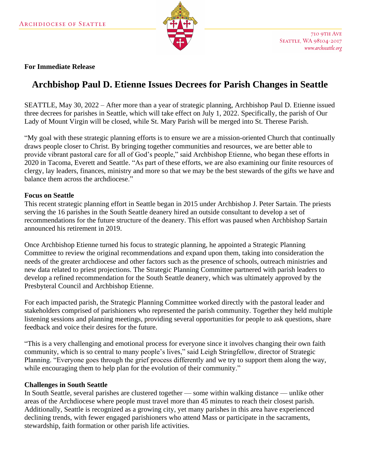

#### **For Immediate Release**

# **Archbishop Paul D. Etienne Issues Decrees for Parish Changes in Seattle**

SEATTLE, May 30, 2022 – After more than a year of strategic planning, Archbishop Paul D. Etienne issued three decrees for parishes in Seattle, which will take effect on July 1, 2022. Specifically, the parish of Our Lady of Mount Virgin will be closed, while St. Mary Parish will be merged into St. Therese Parish.

"My goal with these strategic planning efforts is to ensure we are a mission-oriented Church that continually draws people closer to Christ. By bringing together communities and resources, we are better able to provide vibrant pastoral care for all of God's people," said Archbishop Etienne, who began these efforts in 2020 in Tacoma, Everett and Seattle. "As part of these efforts, we are also examining our finite resources of clergy, lay leaders, finances, ministry and more so that we may be the best stewards of the gifts we have and balance them across the archdiocese."

#### **Focus on Seattle**

This recent strategic planning effort in Seattle began in 2015 under Archbishop J. Peter Sartain. The priests serving the 16 parishes in the South Seattle deanery hired an outside consultant to develop a set of recommendations for the future structure of the deanery. This effort was paused when Archbishop Sartain announced his retirement in 2019.

Once Archbishop Etienne turned his focus to strategic planning, he appointed a Strategic Planning Committee to review the original recommendations and expand upon them, taking into consideration the needs of the greater archdiocese and other factors such as the presence of schools, outreach ministries and new data related to priest projections. The Strategic Planning Committee partnered with parish leaders to develop a refined recommendation for the South Seattle deanery, which was ultimately approved by the Presbyteral Council and Archbishop Etienne.

For each impacted parish, the Strategic Planning Committee worked directly with the pastoral leader and stakeholders comprised of parishioners who represented the parish community. Together they held multiple listening sessions and planning meetings, providing several opportunities for people to ask questions, share feedback and voice their desires for the future.

"This is a very challenging and emotional process for everyone since it involves changing their own faith community, which is so central to many people's lives," said Leigh Stringfellow, director of Strategic Planning. "Everyone goes through the grief process differently and we try to support them along the way, while encouraging them to help plan for the evolution of their community."

#### **Challenges in South Seattle**

In South Seattle, several parishes are clustered together — some within walking distance — unlike other areas of the Archdiocese where people must travel more than 45 minutes to reach their closest parish. Additionally, Seattle is recognized as a growing city, yet many parishes in this area have experienced declining trends, with fewer engaged parishioners who attend Mass or participate in the sacraments, stewardship, faith formation or other parish life activities.